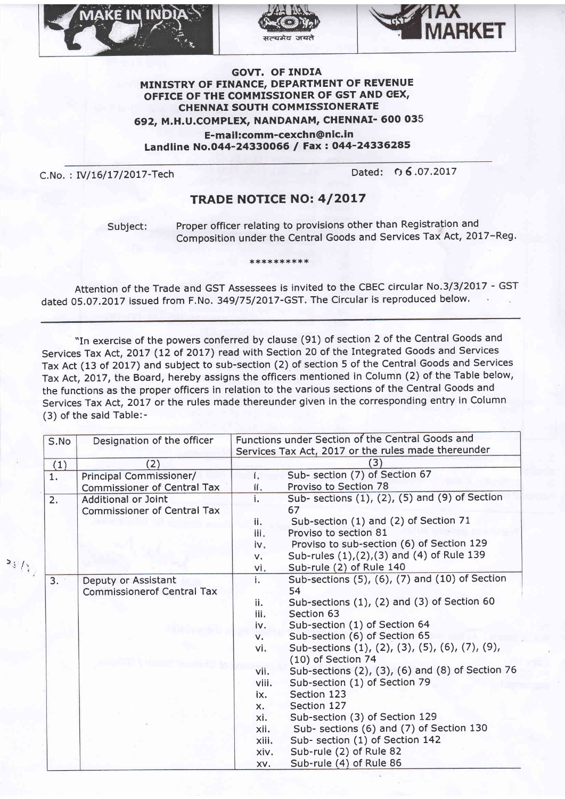





## **GOVT. OF INDIA** MINISTRY OF FINANCE, DEPARTMENT OF REVENUE OFFICE OF THE COMMISSIONER OF GST AND CEX, **CHENNAI SOUTH COMMISSIONERATE** 692, M.H.U.COMPLEX, NANDANAM, CHENNAI- 600 035 E-mail:comm-cexchn@nic.in Landline No.044-24330066 / Fax: 044-24336285

C.No.: IV/16/17/2017-Tech

 $\rightarrow$   $\rightarrow$  /

Dated: 06.07.2017

## **TRADE NOTICE NO: 4/2017**

Subject:

Proper officer relating to provisions other than Registration and Composition under the Central Goods and Services Tax Act, 2017-Reg.

\*\*\*\*\*\*\*\*\*\*

Attention of the Trade and GST Assessees is invited to the CBEC circular No.3/3/2017 - GST dated 05.07.2017 issued from F.No. 349/75/2017-GST. The Circular is reproduced below.

"In exercise of the powers conferred by clause (91) of section 2 of the Central Goods and Services Tax Act, 2017 (12 of 2017) read with Section 20 of the Integrated Goods and Services Tax Act (13 of 2017) and subject to sub-section (2) of section 5 of the Central Goods and Services Tax Act, 2017, the Board, hereby assigns the officers mentioned in Column (2) of the Table below, the functions as the proper officers in relation to the various sections of the Central Goods and Services Tax Act, 2017 or the rules made thereunder given in the corresponding entry in Column (3) of the said Table:-

|    | S.No | Designation of the officer         | Functions under Section of the Central Goods and          |
|----|------|------------------------------------|-----------------------------------------------------------|
|    |      |                                    | Services Tax Act, 2017 or the rules made thereunder       |
|    | (1)  | (2)                                | (3)                                                       |
|    | 1.   | Principal Commissioner/            | Sub- section (7) of Section 67<br>$i_{\rm r}$             |
|    |      | <b>Commissioner of Central Tax</b> | Proviso to Section 78<br>ii.                              |
|    | 2.   | <b>Additional or Joint</b>         | Sub- sections (1), (2), (5) and (9) of Section<br>i.      |
|    |      | <b>Commissioner of Central Tax</b> | 67                                                        |
|    |      |                                    | Sub-section (1) and (2) of Section 71<br>ii.              |
|    |      |                                    | Proviso to section 81<br>iii.                             |
|    |      |                                    | Proviso to sub-section (6) of Section 129<br>iv.          |
|    |      |                                    | Sub-rules (1), (2), (3) and (4) of Rule 139<br>v.         |
| t, |      |                                    | Sub-rule (2) of Rule 140<br>vi.                           |
|    | 3.   | Deputy or Assistant                | Sub-sections (5), (6), (7) and (10) of Section<br>i.      |
|    |      | <b>Commissionerof Central Tax</b>  | 54                                                        |
|    |      |                                    | Sub-sections $(1)$ , $(2)$ and $(3)$ of Section 60<br>ii. |
|    |      |                                    | Section 63<br>iii.                                        |
|    |      |                                    | Sub-section (1) of Section 64<br>iv.                      |
|    |      |                                    | Sub-section (6) of Section 65<br>v.                       |
|    |      |                                    | Sub-sections (1), (2), (3), (5), (6), (7), (9),<br>vi.    |
|    |      |                                    | $(10)$ of Section 74                                      |
|    |      |                                    | Sub-sections (2), (3), (6) and (8) of Section 76<br>vii.  |
|    |      |                                    | Sub-section (1) of Section 79<br>viii.                    |
|    |      |                                    | Section 123<br>ix.                                        |
|    |      |                                    | Section 127<br>X.                                         |
|    |      |                                    | Sub-section (3) of Section 129<br>xi.                     |
|    |      |                                    | Sub- sections (6) and (7) of Section 130<br>xii.          |
|    |      |                                    | Sub- section (1) of Section 142<br>xiii.                  |
|    |      |                                    | Sub-rule (2) of Rule 82<br>xiv.                           |
|    |      |                                    | Sub-rule (4) of Rule 86<br>XV.                            |